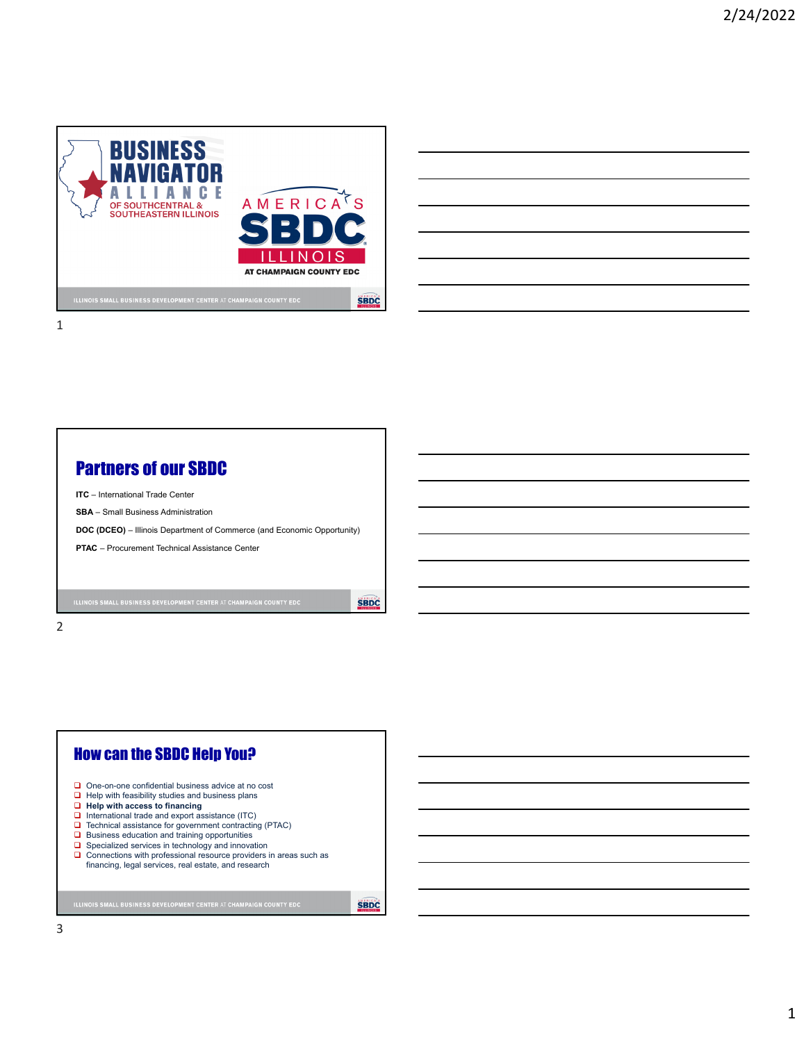



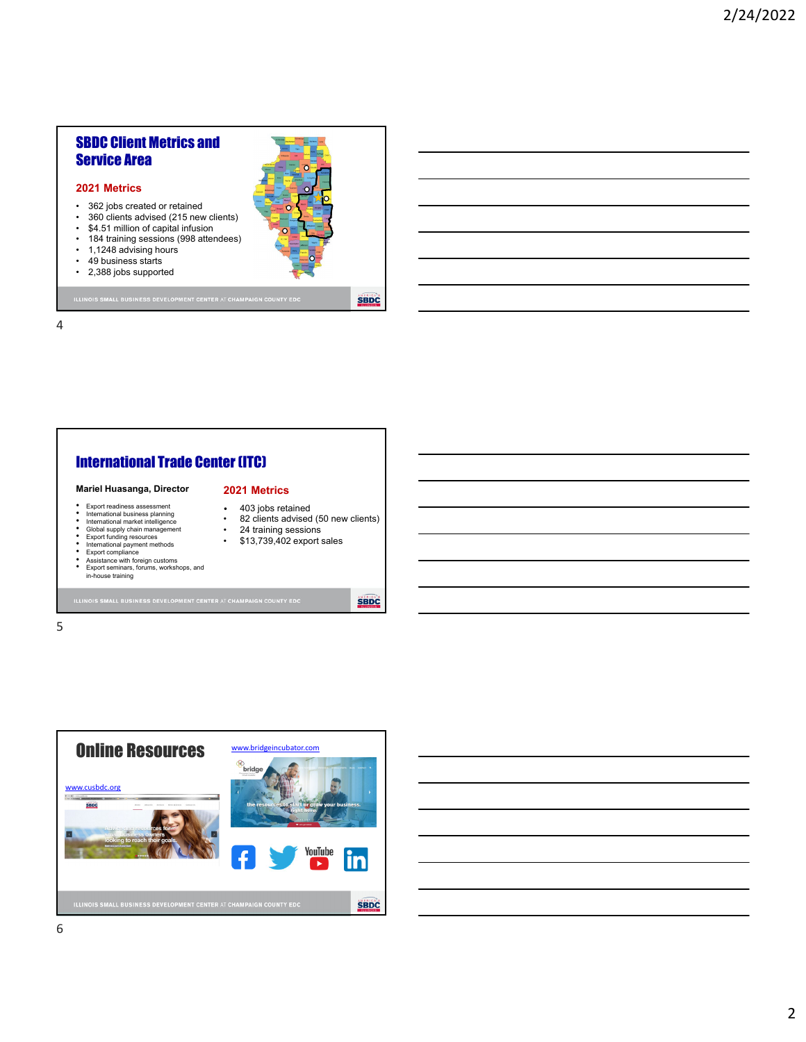## SBDC Client Metrics and Service Area

## **2021 Metrics**

- 362 jobs created or retained<br>• 360 clients advised (215 new
- 360 clients advised (215 new clients)
- \$4.51 million of capital infusion
- 184 training sessions (998 attendees)<br>• 1,1248 advising hours
- 1,1248 advising hours<br>• 49 business starts
- 49 business starts<br>• 2.388 iobs supported
- 2,388 jobs supported

**SBDC** 

**SBDC** 

## 4







6